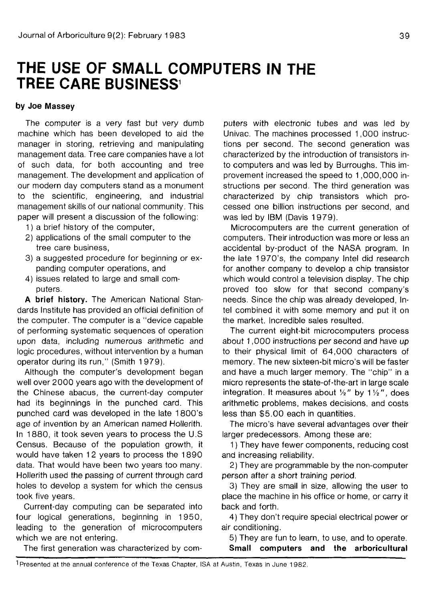## **THE USE OF SMALL COMPUTERS IN THE TREE CARE BUSINESS<sup>1</sup>**

## **by Joe Massey**

The computer is a very fast but very dumb machine which has been developed to aid the manager in storing, retrieving and manipulating management data. Tree care companies have a lot of such data, for both accounting and tree management. The development and application of our modern day computers stand as a monument to the scientific, engineering, and industrial management skills of our national community. This paper will present a discussion of the following:

- 1) a brief history of the computer,
- 2) applications of the small computer to the tree care business,
- 3) a suggested procedure for beginning or expanding computer operations, and
- 4) issues related to large and small computers.

**A brief history.** The American National Standards Institute has provided an official definition of the computer. The computer is a "device capable of performing systematic sequences of operation upon data, including numerous arithmetic and logic procedures, without intervention by a human operator during its run," (Smith 1979).

Although the computer's development began well over 2000 years ago with the development of the Chinese abacus, the current-day computer had its beginnings in the punched card. This punched card was developed in the late 1800's age of invention by an American named Hollerith. In 1880, it took seven years to process the U.S Census. Because of the population growth, it would have taken 12 years to process the 1890 data. That would have been two years too many. Hollerith used the passing of current through card holes to develop a system for which the census took five years.

Current-day computing can be separated into four logical generations, beginning in 1950, leading to the generation of microcomputers which we are not entering.

The first generation was characterized by com-

puters with electronic tubes and was led by Univac. The machines processed 1,000 instructions per second. The second generation was characterized by the introduction of transistors into computers and was led by Burroughs. This improvement increased the speed to 1,000,000 instructions per second. The third generation was characterized by chip transistors which processed one billion instructions per second, and was led by IBM (Davis 1979).

Microcomputers are the current generation of computers. Their introduction was more or less an accidental by-product of the NASA program. In the late 1 970's, the company Intel did research for another company to develop a chip transistor which would control a television display. The chip proved too slow for that second company's needs. Since the chip was already developed, Intel combined it with some memory and put it on the market. Incredible sales resulted.

The current eight-bit microcomputers process about 1,000 instructions per second and have up to their physical limit of 64,000 characters of memory. The new sixteen-bit micro's will be faster and have a much larger memory. The "chip" in a micro represents the state-of-the-art in large scale integration. It measures about  $\frac{1}{2}$ " by 1 $\frac{1}{2}$ ", does arithmetic problems, makes decisions, and costs less than \$5.00 each in quantities.

The micro's have several advantages over their larger predecessors. Among these are:

1) They have fewer components, reducing cost and increasing reliability.

2) They are programmable by the non-computer person after a short training period.

3) They are small in size, allowing the user to place the machine in his office or home, or carry it back and forth.

4) They don't require special electrical power or air conditioning.

5) They are fun to learn, to use, and to operate. **Small computers and the arboricultural**

1 Presented at the annual conference of the Texas Chapter, ISA at Austin, Texas in June 1982.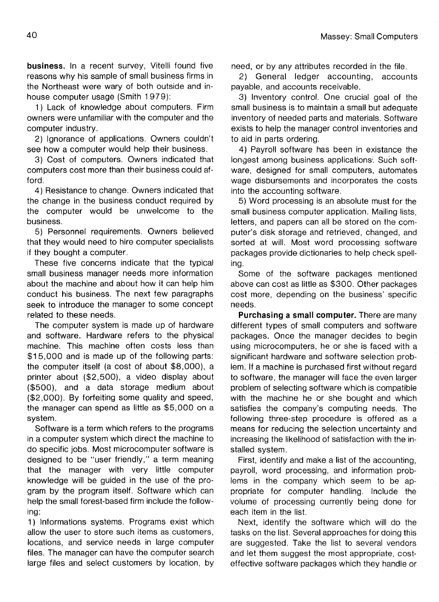**business.** In a recent survey, Vitelli found five reasons why his sample of small business firms in the Northeast were wary of both outside and inhouse computer usage (Smith 1979):

1) Lack of knowledge about computers. Firm owners were unfamiliar with the computer and the computer industry.

2) Ignorance of applications. Owners couldn't see how a computer would help their business.

3) Cost of computers. Owners indicated that computers cost more than their business could afford.

4) Resistance to change. Owners indicated that the change in the business conduct required by the computer would be unwelcome to the business.

5) Personnel requirements. Owners believed that they would need to hire computer specialists if they bought a computer.

These five concerns indicate that the typical small business manager needs more information about the machine and about how it can help him conduct his business. The next few paragraphs seek to introduce the manager to some concept related to these needs.

The computer system is made up of hardware and software. Hardware refers to the physical machine. This machine often costs less than \$15,000 and is made up of the following parts: the computer itself (a cost of about \$8,000), a printer about (\$2,500), a video display about (\$500), and a data storage medium about (\$2,000). By forfeiting some quality and speed, the manager can spend as little as \$5,000 on a system.

Software is a term which refers to the programs in a computer system which direct the machine to do specific jobs. Most microcomputer software is designed to be "user friendly," a term meaning that the manager with very little computer knowledge will be guided in the use of the program by the program itself. Software which can help the small forest-based firm include the following:

1) Informations systems. Programs exist which allow the user to store such items as customers, locations, and service needs in large computer files. The manager can have the computer search large files and select customers by location, by need, or by any attributes recorded in the file.

2) General ledger accounting, accounts payable, and accounts receivable.

3) Inventory control. One crucial goal of the small business is to maintain a small but adequate inventory of needed parts and materials. Software exists to help the manager control inventories and to aid in parts ordering.

4) Payroll software has been in existance the longest among business applications'. Such software, designed for small computers, automates wage disbursements and incorporates the costs into the accounting software.

5) Word processing is an absolute must for the small business computer application. Mailing lists, letters, and papers can all be stored on the computer's disk storage and retrieved, changed, and sorted at will. Most word processing software packages provide dictionaries to help check spelling.

Some of the software packages mentioned above can cost as little as \$300. Other packages cost more, depending on the business' specific needs.

**Purchasing a small computer.** There are many different types of small computers and software packages. Once the manager decides to begin using microcomputers, he or she is faced with a significant hardware and software selection problem. If a machine is purchased first without regard to software, the manager will face the even larger problem of selecting software which is compatible with the machine he or she bought and which satisfies the company's computing needs. The following three-step procedure is offered as a means for reducing the selection uncertainty and increasing the likelihood of satisfaction with the installed system.

First, identify and make a list of the accounting, payroll, word processing, and information problems in the company which seem to be appropriate for computer handling. Include the volume of processing currently being done for each item in the list.

Next, identify the software which will do the tasks on the list. Several approaches for doing this are suggested. Take the list to several vendors and let them suggest the most appropriate, costeffective software packages which they handle or